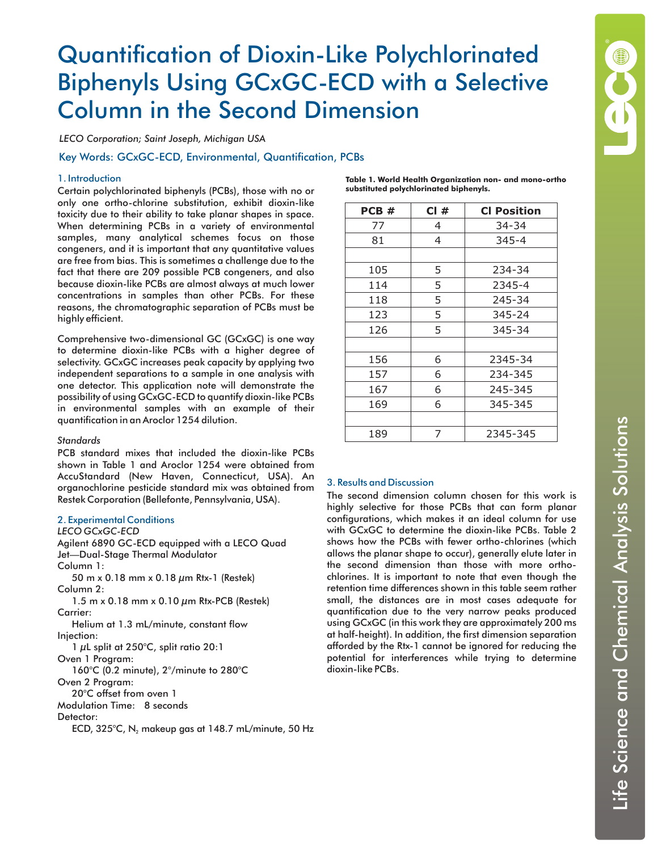# Quantification of Dioxin-Like Polychlorinated Biphenyls Using GCxGC-ECD with a Selective Column in the Second Dimension

*LECO Corporation; Saint Joseph, Michigan USA*

Key Words: GCxGC-ECD, Environmental, Quantification, PCBs

## 1. Introduction

Certain polychlorinated biphenyls (PCBs), those with no or only one ortho-chlorine substitution, exhibit dioxin-like toxicity due to their ability to take planar shapes in space. When determining PCBs in a variety of environmental samples, many analytical schemes focus on those congeners, and it is important that any quantitative values are free from bias. This is sometimes a challenge due to the fact that there are 209 possible PCB congeners, and also because dioxin-like PCBs are almost always at much lower concentrations in samples than other PCBs. For these reasons, the chromatographic separation of PCBs must be highly efficient.

Comprehensive two-dimensional GC (GCxGC) is one way to determine dioxin-like PCBs with a higher degree of selectivity. GCxGC increases peak capacity by applying two independent separations to a sample in one analysis with one detector. This application note will demonstrate the possibility of using GCxGC-ECD to quantify dioxin-like PCBs in environmental samples with an example of their quantification in an Aroclor 1254 dilution.

## *Standards*

PCB standard mixes that included the dioxin-like PCBs shown in Table 1 and Aroclor 1254 were obtained from AccuStandard (New Haven, Connecticut, USA). An organochlorine pesticide standard mix was obtained from Restek Corporation (Bellefonte, Pennsylvania, USA).

## 2. Experimental Conditions

*LECO GCxGC-ECD*

Agilent 6890 GC-ECD equipped with a LECO Quad Jet—Dual-Stage Thermal Modulator Column 1: 50 m x 0.18 mm x 0.18  $\mu$ m Rtx-1 (Restek) Column 2: 1.5 m x 0.18 mm x 0.10  $\mu$ m Rtx-PCB (Restek) Carrier: Helium at 1.3 mL/minute, constant flow Injection: 1 µL split at 250°C, split ratio 20:1 Oven 1 Program: 160°C (0.2 minute), 2°/minute to 280°C Oven 2 Program: 20°C offset from oven 1 Modulation Time: 8 seconds Detector: ECD, 325°C, N $_{\rm 2}$  makeup gas at 148.7 mL/minute, 50 Hz

| Table 1. World Health Organization non- and mono-ortho |
|--------------------------------------------------------|
| substituted polychlorinated biphenyls.                 |

| PCB# | CI# | <b>CI Position</b> |
|------|-----|--------------------|
| 77   | 4   | 34-34              |
| 81   | 4   | $345 - 4$          |
|      |     |                    |
| 105  | 5   | 234-34             |
| 114  | 5   | 2345-4             |
| 118  | 5   | 245-34             |
| 123  | 5   | 345-24             |
| 126  | 5   | 345-34             |
|      |     |                    |
| 156  | 6   | 2345-34            |
| 157  | 6   | 234-345            |
| 167  | 6   | 245-345            |
| 169  | 6   | 345-345            |
|      |     |                    |
| 189  | 7   | 2345-345           |

# 3. Results and Discussion

The second dimension column chosen for this work is highly selective for those PCBs that can form planar configurations, which makes it an ideal column for use with GCxGC to determine the dioxin-like PCBs. Table 2 shows how the PCBs with fewer ortho-chlorines (which allows the planar shape to occur), generally elute later in the second dimension than those with more orthochlorines. It is important to note that even though the retention time differences shown in this table seem rather small, the distances are in most cases adequate for quantification due to the very narrow peaks produced using GCxGC (in this work they are approximately 200 ms at half-height). In addition, the first dimension separation afforded by the Rtx-1 cannot be ignored for reducing the potential for interferences while trying to determine dioxin-like PCBs.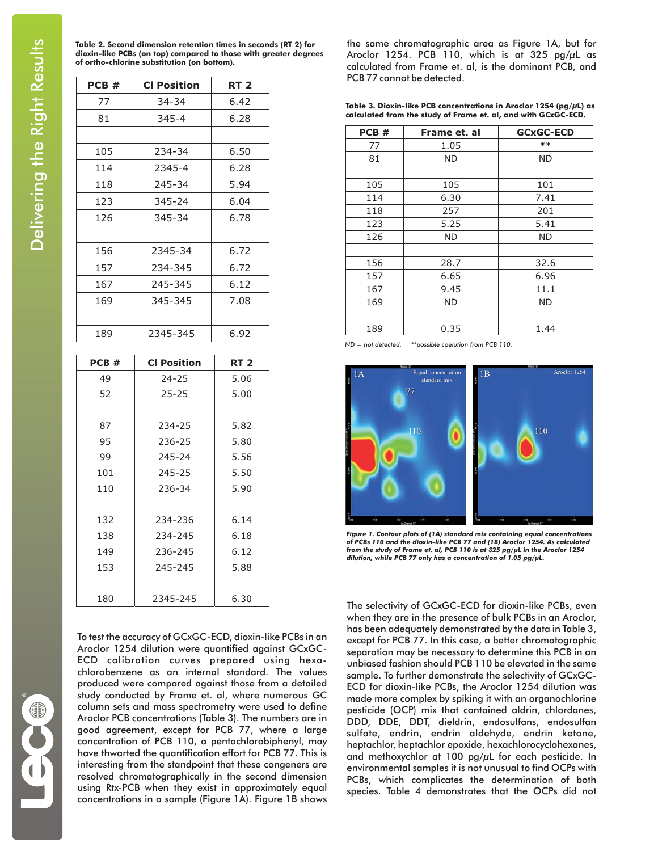**Table 2. Second dimension retention times in seconds (RT 2) for dioxin-like PCBs (on top) compared to those with greater degrees of ortho-chlorine substitution (on bottom).**

| PCB# | <b>CI Position</b> | <b>RT 2</b> |
|------|--------------------|-------------|
| 77   | 34-34              | 6.42        |
| 81   | $345 - 4$          | 6.28        |
|      |                    |             |
| 105  | 234-34             | 6.50        |
| 114  | 2345-4             | 6.28        |
| 118  | 245-34             | 5.94        |
| 123  | 345-24             | 6.04        |
| 126  | 345-34             | 6.78        |
|      |                    |             |
| 156  | 2345-34            | 6.72        |
| 157  | 234-345            | 6.72        |
| 167  | 245-345            | 6.12        |
| 169  | 345-345            | 7.08        |
|      |                    |             |
| 189  | 2345-345           | 6.92        |
|      |                    |             |

| PCB# | <b>CI Position</b> | <b>RT 2</b> |
|------|--------------------|-------------|
| 49   | $24 - 25$          | 5.06        |
| 52   | $25 - 25$          | 5.00        |
|      |                    |             |
| 87   | 234-25             | 5.82        |
| 95   | 236-25             | 5.80        |
| 99   | 245-24             | 5.56        |
| 101  | 245-25             | 5.50        |
| 110  | 236-34             | 5.90        |
|      |                    |             |
| 132  | 234-236            | 6.14        |
| 138  | 234-245            | 6.18        |
| 149  | 236-245            | 6.12        |
| 153  | 245-245            | 5.88        |
|      |                    |             |
| 180  | 2345-245           | 6.30        |

To test the accuracy of GCxGC-ECD, dioxin-like PCBs in an Aroclor 1254 dilution were quantified against GCxGC-ECD calibration curves prepared using hexachlorobenzene as an internal standard. The values produced were compared against those from a detailed study conducted by Frame et. al, where numerous GC column sets and mass spectrometry were used to define Aroclor PCB concentrations (Table 3). The numbers are in good agreement, except for PCB 77, where a large concentration of PCB 110, a pentachlorobiphenyl, may have thwarted the quantification effort for PCB 77. This is interesting from the standpoint that these congeners are resolved chromatographically in the second dimension using Rtx-PCB when they exist in approximately equal concentrations in a sample (Figure 1A). Figure 1B shows

the same chromatographic area as Figure 1A, but for Aroclor 1254. PCB 110, which is at 325 pg/ $\mu$ L as calculated from Frame et. al, is the dominant PCB, and PCB 77 cannot be detected.

**Table 3. Dioxin-like PCB concentrations in Aroclor 1254 (pg/µL) as calculated from the study of Frame et. al, and with GCxGC-ECD.**

| PCB# | Frame et. al | <b>GCxGC-ECD</b> |
|------|--------------|------------------|
| 77   | 1.05         | $**$             |
| 81   | ND           | ND               |
|      |              |                  |
| 105  | 105          | 101              |
| 114  | 6.30         | 7.41             |
| 118  | 257          | 201              |
| 123  | 5.25         | 5.41             |
| 126  | ND           | <b>ND</b>        |
|      |              |                  |
| 156  | 28.7         | 32.6             |
| 157  | 6.65         | 6.96             |
| 167  | 9.45         | 11.1             |
| 169  | ND           | ND               |
|      |              |                  |
| 189  | 0.35         | 1.44             |

*ND = not detected. \*\*possible coelution from PCB 110.*



*Figure 1. Contour plots of (1A) standard mix containing equal concentrations of PCBs 110 and the dioxin-like PCB 77 and (1B) Aroclor 1254. As calculated from the study of Frame et. al, PCB 110 is at 325 pg/µL in the Aroclor 1254 dilution, while PCB 77 only has a concentration of 1.05 pg/µL.*

The selectivity of GCxGC-ECD for dioxin-like PCBs, even when they are in the presence of bulk PCBs in an Aroclor, has been adequately demonstrated by the data in Table 3, except for PCB 77. In this case, a better chromatographic separation may be necessary to determine this PCB in an unbiased fashion should PCB 110 be elevated in the same sample. To further demonstrate the selectivity of GCxGC-ECD for dioxin-like PCBs, the Aroclor 1254 dilution was made more complex by spiking it with an organochlorine pesticide (OCP) mix that contained aldrin, chlordanes, DDD, DDE, DDT, dieldrin, endosulfans, endosulfan sulfate, endrin, endrin aldehyde, endrin ketone, heptachlor, heptachlor epoxide, hexachlorocyclohexanes, and methoxychlor at 100 pg/ $\mu$ L for each pesticide. In environmental samples it is not unusual to find OCPs with PCBs, which complicates the determination of both species. Table 4 demonstrates that the OCPs did not